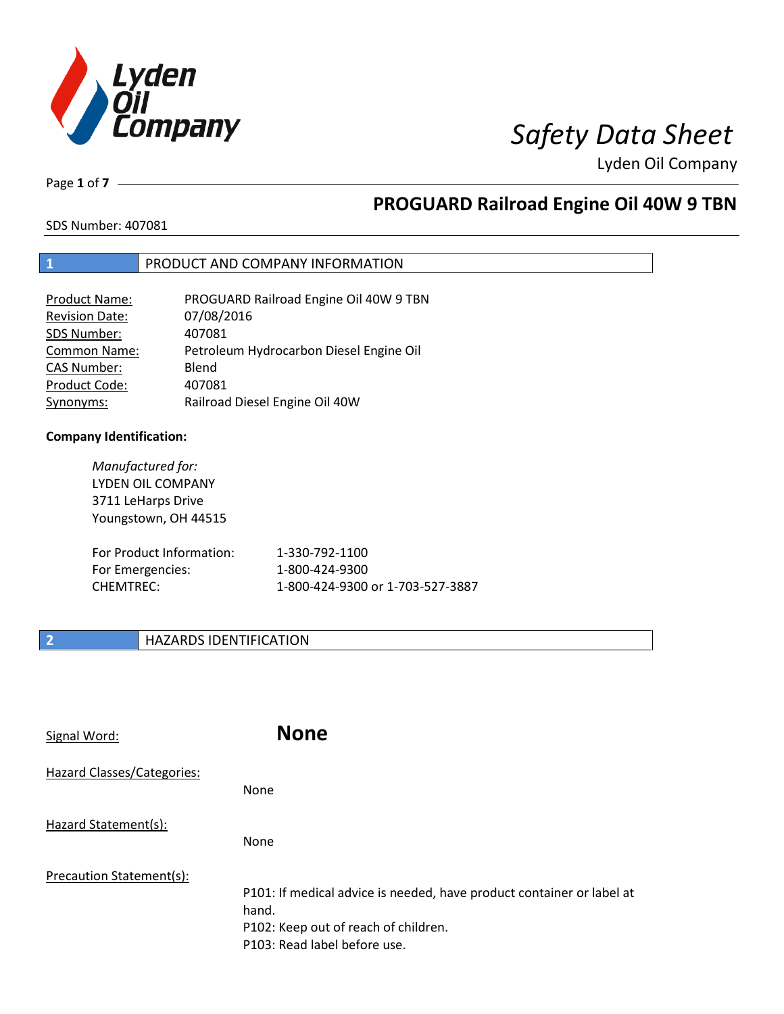

Lyden Oil Company

Page **1** of **7**

# **PROGUARD Railroad Engine Oil 40W 9 TBN**

SDS Number: 407081

### **1** PRODUCT AND COMPANY INFORMATION

| Product Name:         | PROGUARD Railroad Engine Oil 40W 9 TBN  |
|-----------------------|-----------------------------------------|
| <b>Revision Date:</b> | 07/08/2016                              |
| SDS Number:           | 407081                                  |
| Common Name:          | Petroleum Hydrocarbon Diesel Engine Oil |
| <b>CAS Number:</b>    | Blend                                   |
| Product Code:         | 407081                                  |
| Synonyms:             | Railroad Diesel Engine Oil 40W          |

### **Company Identification:**

*Manufactured for:* LYDEN OIL COMPANY 3711 LeHarps Drive Youngstown, OH 44515 For Product Information: 1-330-792-1100 For Emergencies: 1-800-424-9300 CHEMTREC: 1-800-424-9300 or 1-703-527-3887

## **2 HAZARDS IDENTIFICATION**

| Signal Word:               | <b>None</b>                                                                                                                                            |
|----------------------------|--------------------------------------------------------------------------------------------------------------------------------------------------------|
| Hazard Classes/Categories: | None                                                                                                                                                   |
| Hazard Statement(s):       | None                                                                                                                                                   |
| Precaution Statement(s):   | P101: If medical advice is needed, have product container or label at<br>hand.<br>P102: Keep out of reach of children.<br>P103: Read label before use. |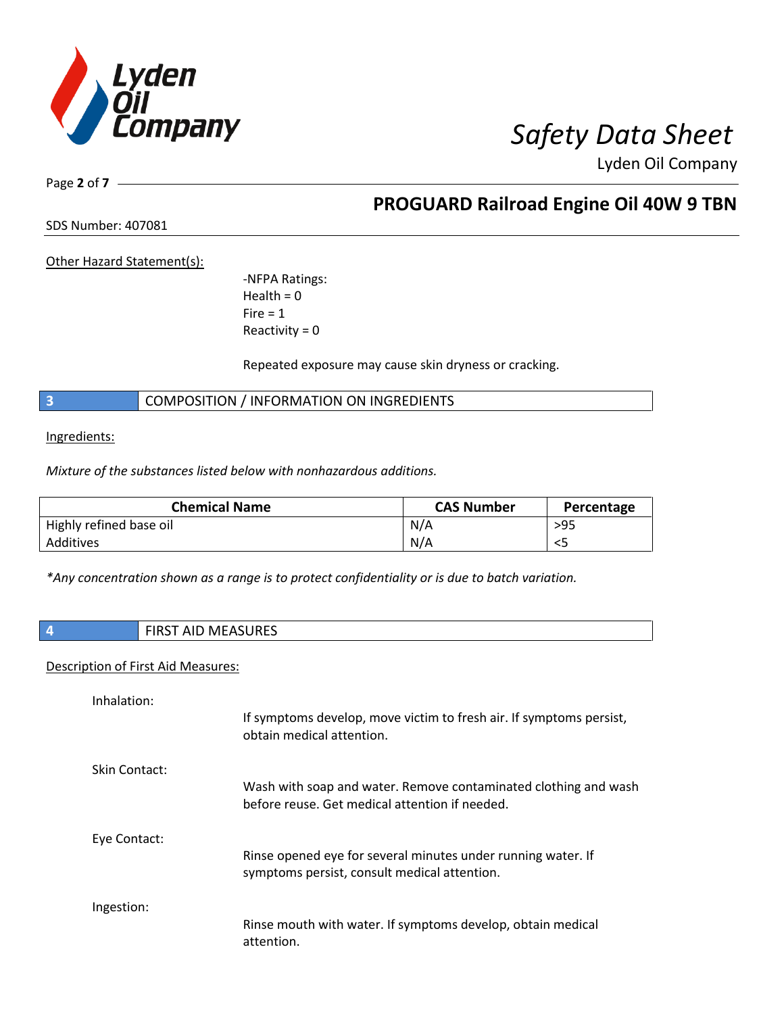

Lyden Oil Company

Page **2** of **7**

**PROGUARD Railroad Engine Oil 40W 9 TBN**

SDS Number: 407081

Other Hazard Statement(s):

-NFPA Ratings:  $Health = 0$  $Fire = 1$ Reactivity  $= 0$ 

Repeated exposure may cause skin dryness or cracking.

**3** COMPOSITION / INFORMATION ON INGREDIENTS

Ingredients:

*Mixture of the substances listed below with nonhazardous additions.*

| <b>Chemical Name</b>    | <b>CAS Number</b> | Percentage |
|-------------------------|-------------------|------------|
| Highly refined base oil | N/A               | >95        |
| Additives               | N/A               | ر >        |

*\*Any concentration shown as a range is to protect confidentiality or is due to batch variation.*

| <b>FIRST AID MEASURES</b> |
|---------------------------|
|---------------------------|

### Description of First Aid Measures:

| Inhalation:          | If symptoms develop, move victim to fresh air. If symptoms persist,<br>obtain medical attention.                  |
|----------------------|-------------------------------------------------------------------------------------------------------------------|
| <b>Skin Contact:</b> | Wash with soap and water. Remove contaminated clothing and wash<br>before reuse. Get medical attention if needed. |
| Eye Contact:         | Rinse opened eye for several minutes under running water. If<br>symptoms persist, consult medical attention.      |
| Ingestion:           | Rinse mouth with water. If symptoms develop, obtain medical<br>attention.                                         |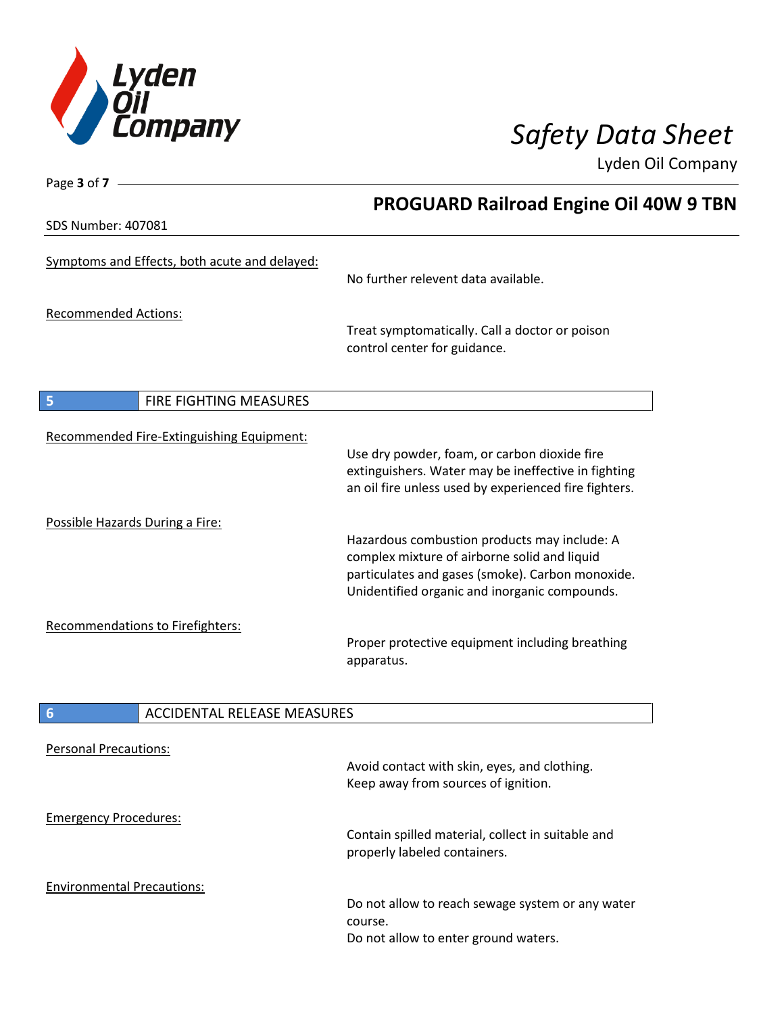

Page **3** of **7**

Lyden Oil Company

|                                               | <b>PROGUARD Railroad Engine Oil 40W 9 TBN</b>                                                                                                                |
|-----------------------------------------------|--------------------------------------------------------------------------------------------------------------------------------------------------------------|
| SDS Number: 407081                            |                                                                                                                                                              |
| Symptoms and Effects, both acute and delayed: | No further relevent data available.                                                                                                                          |
| <b>Recommended Actions:</b>                   | Treat symptomatically. Call a doctor or poison<br>control center for guidance.                                                                               |
| FIRE FIGHTING MEASURES<br>5                   |                                                                                                                                                              |
| Recommended Fire-Extinguishing Equipment:     | Use dry powder, foam, or carbon dioxide fire<br>extinguishers. Water may be ineffective in fighting<br>an oil fire unless used by experienced fire fighters. |
| Possible Hazards During a Fire:               | Hazardous combustion products may include: A                                                                                                                 |
|                                               | complex mixture of airborne solid and liquid<br>particulates and gases (smoke). Carbon monoxide.<br>Unidentified organic and inorganic compounds.            |
| Recommendations to Firefighters:              | Proper protective equipment including breathing<br>apparatus.                                                                                                |
| <b>ACCIDENTAL RELEASE MEASURES</b><br>6       |                                                                                                                                                              |
| <b>Personal Precautions:</b>                  | Avoid contact with skin, eyes, and clothing.<br>Keep away from sources of ignition.                                                                          |
| <b>Emergency Procedures:</b>                  | Contain spilled material, collect in suitable and<br>properly labeled containers.                                                                            |
| <b>Environmental Precautions:</b>             | Do not allow to reach sewage system or any water<br>course.<br>Do not allow to enter ground waters.                                                          |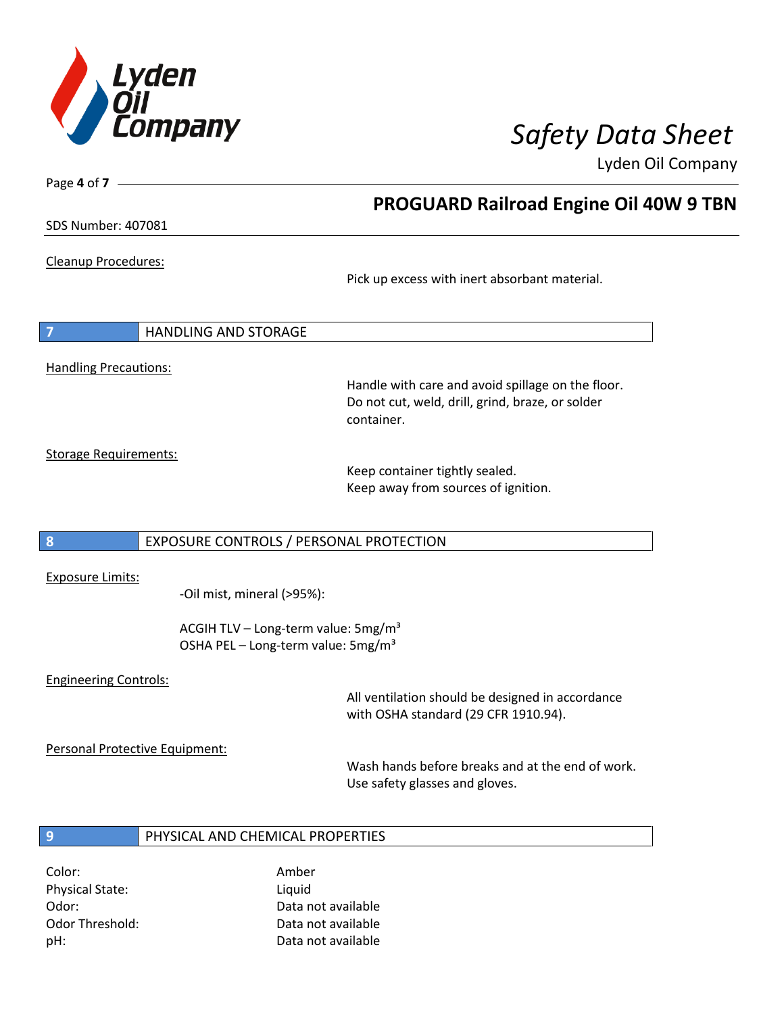

**PROGUARD Railroad Engine Oil 40W 9 TBN**

Lyden Oil Company

SDS Number: 407081

Page **4** of **7**

Cleanup Procedures:

Pick up excess with inert absorbant material.

**7** HANDLING AND STORAGE

Handling Precautions:

Handle with care and avoid spillage on the floor. Do not cut, weld, drill, grind, braze, or solder container.

Storage Requirements:

Keep container tightly sealed. Keep away from sources of ignition.

### **8** EXPOSURE CONTROLS / PERSONAL PROTECTION

Exposure Limits:

-Oil mist, mineral (>95%):

ACGIH TLV – Long-term value: 5mg/m<sup>3</sup> OSHA PEL - Long-term value: 5mg/m<sup>3</sup>

### Engineering Controls:

All ventilation should be designed in accordance with OSHA standard (29 CFR 1910.94).

Personal Protective Equipment:

Wash hands before breaks and at the end of work. Use safety glasses and gloves.

### **9** PHYSICAL AND CHEMICAL PROPERTIES

Color: Amber Physical State: Liquid

Odor: Data not available Odor Threshold: Data not available pH: Data not available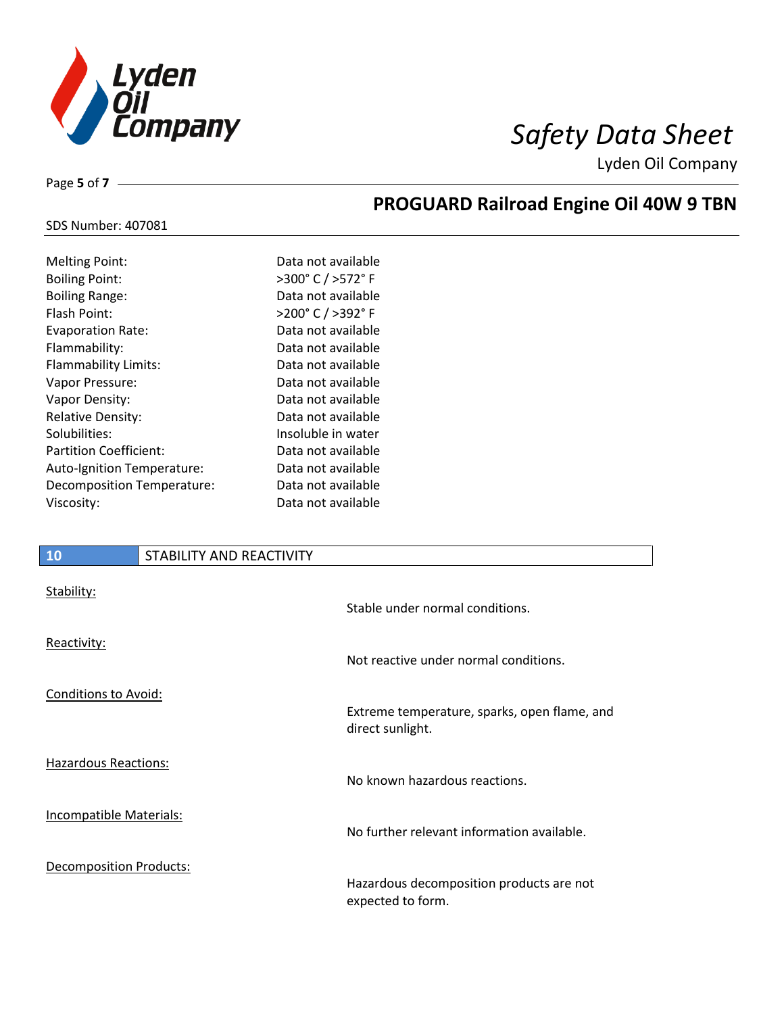

**PROGUARD Railroad Engine Oil 40W 9 TBN**

Lyden Oil Company

SDS Number: 407081

Page **5** of **7**

| <b>Melting Point:</b>         | Data not available |
|-------------------------------|--------------------|
| <b>Boiling Point:</b>         | >300°C/>572°F      |
| <b>Boiling Range:</b>         | Data not available |
| Flash Point:                  | >200°C / >392°F    |
| <b>Evaporation Rate:</b>      | Data not available |
| Flammability:                 | Data not available |
| Flammability Limits:          | Data not available |
| Vapor Pressure:               | Data not available |
| Vapor Density:                | Data not available |
| <b>Relative Density:</b>      | Data not available |
| Solubilities:                 | Insoluble in water |
| <b>Partition Coefficient:</b> | Data not available |
| Auto-Ignition Temperature:    | Data not available |
| Decomposition Temperature:    | Data not available |
| Viscosity:                    | Data not available |
|                               |                    |

### **10** STABILITY AND REACTIVITY

| Stability:                     | Stable under normal conditions.                                  |
|--------------------------------|------------------------------------------------------------------|
| Reactivity:                    | Not reactive under normal conditions.                            |
| <b>Conditions to Avoid:</b>    |                                                                  |
|                                | Extreme temperature, sparks, open flame, and<br>direct sunlight. |
| Hazardous Reactions:           | No known hazardous reactions.                                    |
| <b>Incompatible Materials:</b> | No further relevant information available.                       |
| <b>Decomposition Products:</b> | Hazardous decomposition products are not<br>expected to form.    |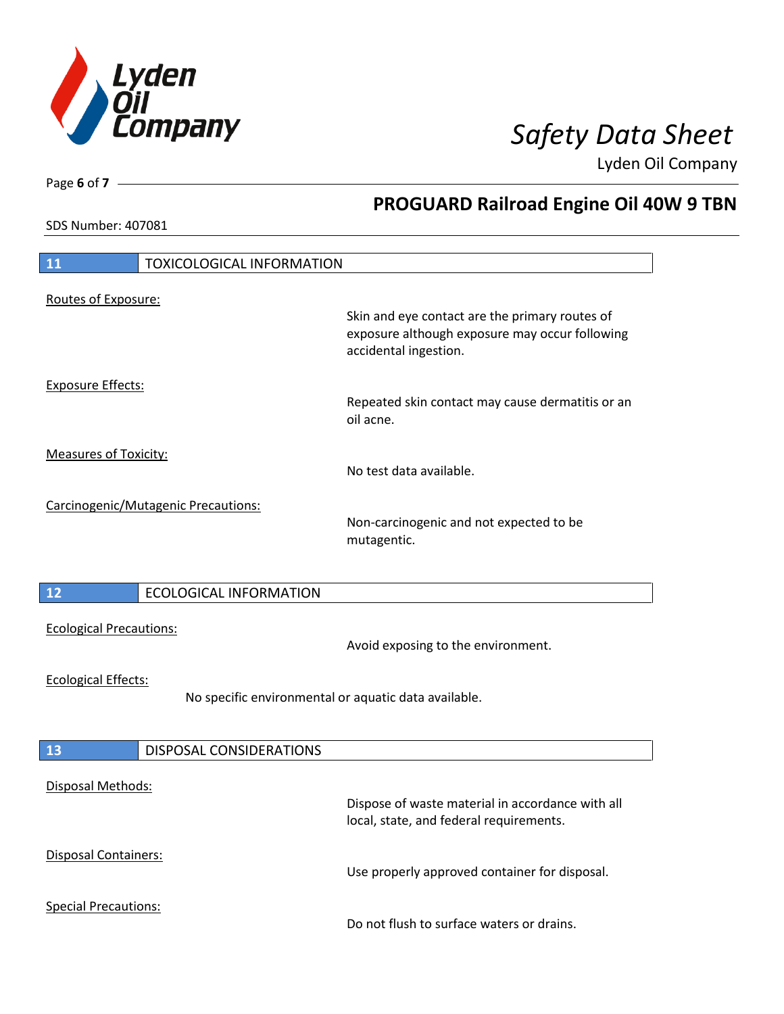

**PROGUARD Railroad Engine Oil 40W 9 TBN**

Lyden Oil Company

SDS Number: 407081

Page **6** of **7**

| 11                                  | <b>TOXICOLOGICAL INFORMATION</b> |                                                                                                                           |
|-------------------------------------|----------------------------------|---------------------------------------------------------------------------------------------------------------------------|
| Routes of Exposure:                 |                                  |                                                                                                                           |
|                                     |                                  | Skin and eye contact are the primary routes of<br>exposure although exposure may occur following<br>accidental ingestion. |
| <b>Exposure Effects:</b>            |                                  |                                                                                                                           |
|                                     |                                  | Repeated skin contact may cause dermatitis or an<br>oil acne.                                                             |
| <b>Measures of Toxicity:</b>        |                                  |                                                                                                                           |
|                                     |                                  | No test data available.                                                                                                   |
| Carcinogenic/Mutagenic Precautions: |                                  |                                                                                                                           |
|                                     |                                  | Non-carcinogenic and not expected to be<br>mutagentic.                                                                    |
|                                     |                                  |                                                                                                                           |
| $\overline{12}$                     | <b>ECOLOGICAL INFORMATION</b>    |                                                                                                                           |
| <b>Ecological Precautions:</b>      |                                  | Avoid exposing to the environment.                                                                                        |
| <b>Ecological Effects:</b>          |                                  |                                                                                                                           |
|                                     |                                  | No specific environmental or aquatic data available.                                                                      |
|                                     |                                  |                                                                                                                           |
| 13                                  | DISPOSAL CONSIDERATIONS          |                                                                                                                           |
|                                     |                                  |                                                                                                                           |
| Disposal Methods:                   |                                  | Dispose of waste material in accordance with all<br>local, state, and federal requirements.                               |
| Disposal Containers:                |                                  | Use properly approved container for disposal.                                                                             |
| <b>Special Precautions:</b>         |                                  | Do not flush to surface waters or drains.                                                                                 |